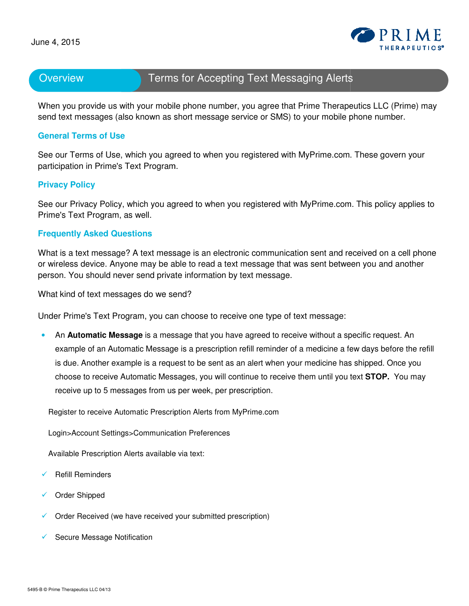

# Overview **Terms for Accepting Text Messaging Alerts**

When you provide us with your mobile phone number, you agree that Prime Therapeutics LLC (Prime) may send text messages (also known as short message service or SMS) to your mobile phone number. When you provide us with your mobile phone number, you agree that Prime Therapeutics LLC (Prime) m<br>send text messages (also known as short message service or SMS) to your mobile phone number.<br>General [Terms of Use](https://www.myprime.com/content/myprime/en/about-prime/terms-of-use.html), which yo

# **General Terms of Use**

participation in Prime's Text Program.

# **Privacy Policy**

See our [Privacy Policy,](https://www.myprime.com/content/myprime/en/about-prime/privacy-policy.html) which you agreed to when you registered with MyPrime.com. This policy applies to Prime's Text Program, as well.

# **Frequently Asked Questions**

What is a text message? A text message is an electronic communication sent and received on a cell phone What is a text message? A text message is an electronic communication sent and received on a cell pho<br>or wireless device. Anyone may be able to read a text message that was sent between you and another person. You should never send private information by text message. wireless device. Anyone may<br>erson. You should never send<br>hat kind of text messages do<br>nder Prime's Text Program, y<br>An **Automatic Message** is person. You should never send private information by text message.

What kind of text messages do we send?

Under Prime's Text Program, you can choose to receive one type of text message:

• An **Automatic Message** is a message that you have agreed to receive without a specific request. An An **Automatic Message** is a message that you have agreed to receive without a specific request. An<br>example of an Automatic Message is a prescription refill reminder of a medicine a few days before the refill is due. Another example is a request to be sent as an alert when your medicine has shipped. Once you choose to receive Automatic Messages, you will continue to receive them until you text **STOP.** You may<br>receive up to 5 messages from us per week, per prescription. up to 5 messages from us per week, per prescription.

Register to receive Automatic Prescription Alerts from MyPrime.com

Login>Account Settings>Communication Preferences

Available Prescription Alerts available via text:

- $\checkmark$  Refill Reminders
- v Order Shipped
- $\checkmark$  Order Received (we have received your submitted prescription)
- $\checkmark$  Secure Message Notification